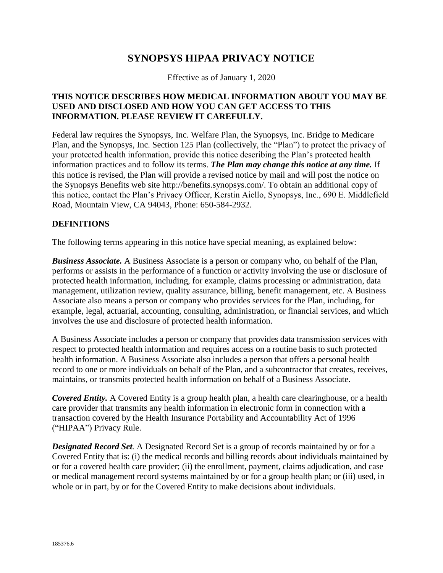# **SYNOPSYS HIPAA PRIVACY NOTICE**

Effective as of January 1, 2020

#### **THIS NOTICE DESCRIBES HOW MEDICAL INFORMATION ABOUT YOU MAY BE USED AND DISCLOSED AND HOW YOU CAN GET ACCESS TO THIS INFORMATION. PLEASE REVIEW IT CAREFULLY.**

Federal law requires the Synopsys, Inc. Welfare Plan, the Synopsys, Inc. Bridge to Medicare Plan, and the Synopsys, Inc. Section 125 Plan (collectively, the "Plan") to protect the privacy of your protected health information, provide this notice describing the Plan's protected health information practices and to follow its terms. *The Plan may change this notice at any time.* If this notice is revised, the Plan will provide a revised notice by mail and will post the notice on the Synopsys Benefits web site http://benefits.synopsys.com/. To obtain an additional copy of this notice, contact the Plan's Privacy Officer, Kerstin Aiello, Synopsys, Inc., 690 E. Middlefield Road, Mountain View, CA 94043, Phone: 650-584-2932.

#### **DEFINITIONS**

The following terms appearing in this notice have special meaning, as explained below:

*Business Associate.* A Business Associate is a person or company who, on behalf of the Plan, performs or assists in the performance of a function or activity involving the use or disclosure of protected health information, including, for example, claims processing or administration, data management, utilization review, quality assurance, billing, benefit management, etc. A Business Associate also means a person or company who provides services for the Plan, including, for example, legal, actuarial, accounting, consulting, administration, or financial services, and which involves the use and disclosure of protected health information.

A Business Associate includes a person or company that provides data transmission services with respect to protected health information and requires access on a routine basis to such protected health information. A Business Associate also includes a person that offers a personal health record to one or more individuals on behalf of the Plan, and a subcontractor that creates, receives, maintains, or transmits protected health information on behalf of a Business Associate.

*Covered Entity.* A Covered Entity is a group health plan, a health care clearinghouse, or a health care provider that transmits any health information in electronic form in connection with a transaction covered by the Health Insurance Portability and Accountability Act of 1996 ("HIPAA") Privacy Rule.

*Designated Record Set.* A Designated Record Set is a group of records maintained by or for a Covered Entity that is: (i) the medical records and billing records about individuals maintained by or for a covered health care provider; (ii) the enrollment, payment, claims adjudication, and case or medical management record systems maintained by or for a group health plan; or (iii) used, in whole or in part, by or for the Covered Entity to make decisions about individuals.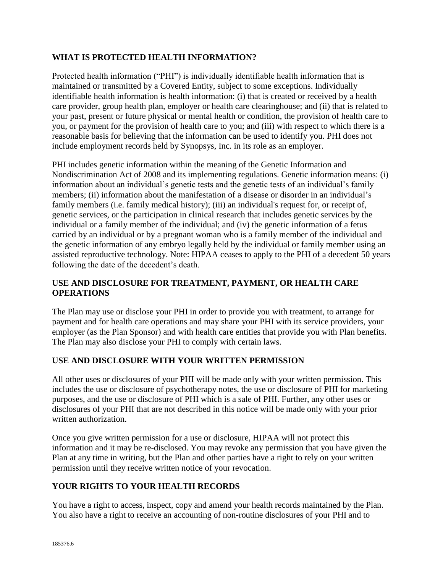### **WHAT IS PROTECTED HEALTH INFORMATION?**

Protected health information ("PHI") is individually identifiable health information that is maintained or transmitted by a Covered Entity, subject to some exceptions. Individually identifiable health information is health information: (i) that is created or received by a health care provider, group health plan, employer or health care clearinghouse; and (ii) that is related to your past, present or future physical or mental health or condition, the provision of health care to you, or payment for the provision of health care to you; and (iii) with respect to which there is a reasonable basis for believing that the information can be used to identify you. PHI does not include employment records held by Synopsys, Inc. in its role as an employer.

PHI includes genetic information within the meaning of the Genetic Information and Nondiscrimination Act of 2008 and its implementing regulations. Genetic information means: (i) information about an individual's genetic tests and the genetic tests of an individual's family members; (ii) information about the manifestation of a disease or disorder in an individual's family members (i.e. family medical history); (iii) an individual's request for, or receipt of, genetic services, or the participation in clinical research that includes genetic services by the individual or a family member of the individual; and (iv) the genetic information of a fetus carried by an individual or by a pregnant woman who is a family member of the individual and the genetic information of any embryo legally held by the individual or family member using an assisted reproductive technology. Note: HIPAA ceases to apply to the PHI of a decedent 50 years following the date of the decedent's death.

## **USE AND DISCLOSURE FOR TREATMENT, PAYMENT, OR HEALTH CARE OPERATIONS**

The Plan may use or disclose your PHI in order to provide you with treatment, to arrange for payment and for health care operations and may share your PHI with its service providers, your employer (as the Plan Sponsor) and with health care entities that provide you with Plan benefits. The Plan may also disclose your PHI to comply with certain laws.

### **USE AND DISCLOSURE WITH YOUR WRITTEN PERMISSION**

All other uses or disclosures of your PHI will be made only with your written permission. This includes the use or disclosure of psychotherapy notes, the use or disclosure of PHI for marketing purposes, and the use or disclosure of PHI which is a sale of PHI. Further, any other uses or disclosures of your PHI that are not described in this notice will be made only with your prior written authorization.

Once you give written permission for a use or disclosure, HIPAA will not protect this information and it may be re-disclosed. You may revoke any permission that you have given the Plan at any time in writing, but the Plan and other parties have a right to rely on your written permission until they receive written notice of your revocation.

# **YOUR RIGHTS TO YOUR HEALTH RECORDS**

You have a right to access, inspect, copy and amend your health records maintained by the Plan. You also have a right to receive an accounting of non-routine disclosures of your PHI and to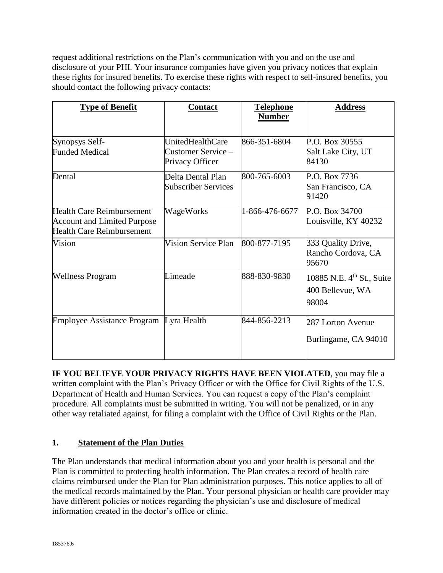request additional restrictions on the Plan's communication with you and on the use and disclosure of your PHI. Your insurance companies have given you privacy notices that explain these rights for insured benefits. To exercise these rights with respect to self-insured benefits, you should contact the following privacy contacts:

| <b>Type of Benefit</b>                                                                                     | <b>Contact</b>                                            | <b>Telephone</b><br><b>Number</b> | <b>Address</b>                                                     |
|------------------------------------------------------------------------------------------------------------|-----------------------------------------------------------|-----------------------------------|--------------------------------------------------------------------|
| Synopsys Self-<br><b>Funded Medical</b>                                                                    | UnitedHealthCare<br>Customer Service -<br>Privacy Officer | 866-351-6804                      | P.O. Box 30555<br>Salt Lake City, UT<br>84130                      |
| Dental                                                                                                     | Delta Dental Plan<br><b>Subscriber Services</b>           | 800-765-6003                      | P.O. Box 7736<br>San Francisco, CA<br>91420                        |
| <b>Health Care Reimbursement</b><br><b>Account and Limited Purpose</b><br><b>Health Care Reimbursement</b> | WageWorks                                                 | 1-866-476-6677                    | P.O. Box 34700<br>Louisville, KY 40232                             |
| Vision                                                                                                     | Vision Service Plan                                       | 800-877-7195                      | 333 Quality Drive,<br>Rancho Cordova, CA<br>95670                  |
| <b>Wellness Program</b>                                                                                    | Limeade                                                   | 888-830-9830                      | 10885 N.E. 4 <sup>th</sup> St., Suite<br>400 Bellevue, WA<br>98004 |
| Employee Assistance Program Lyra Health                                                                    |                                                           | 844-856-2213                      | 287 Lorton Avenue<br>Burlingame, CA 94010                          |

**IF YOU BELIEVE YOUR PRIVACY RIGHTS HAVE BEEN VIOLATED**, you may file a written complaint with the Plan's Privacy Officer or with the Office for Civil Rights of the U.S. Department of Health and Human Services. You can request a copy of the Plan's complaint procedure. All complaints must be submitted in writing. You will not be penalized, or in any other way retaliated against, for filing a complaint with the Office of Civil Rights or the Plan.

### **1. Statement of the Plan Duties**

The Plan understands that medical information about you and your health is personal and the Plan is committed to protecting health information. The Plan creates a record of health care claims reimbursed under the Plan for Plan administration purposes. This notice applies to all of the medical records maintained by the Plan. Your personal physician or health care provider may have different policies or notices regarding the physician's use and disclosure of medical information created in the doctor's office or clinic.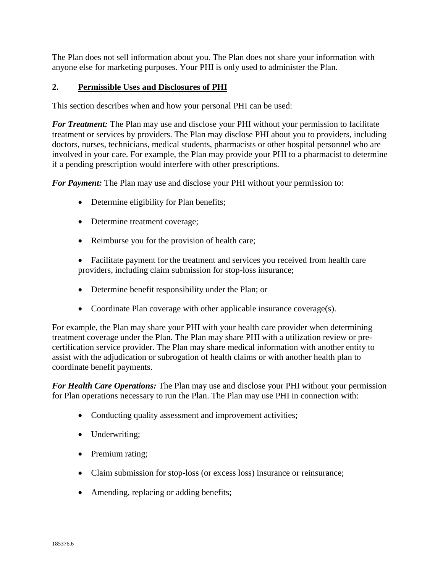The Plan does not sell information about you. The Plan does not share your information with anyone else for marketing purposes. Your PHI is only used to administer the Plan.

### **2. Permissible Uses and Disclosures of PHI**

This section describes when and how your personal PHI can be used:

*For Treatment:* The Plan may use and disclose your PHI without your permission to facilitate treatment or services by providers. The Plan may disclose PHI about you to providers, including doctors, nurses, technicians, medical students, pharmacists or other hospital personnel who are involved in your care. For example, the Plan may provide your PHI to a pharmacist to determine if a pending prescription would interfere with other prescriptions.

*For Payment:* The Plan may use and disclose your PHI without your permission to:

- Determine eligibility for Plan benefits;
- Determine treatment coverage;
- Reimburse you for the provision of health care;
- Facilitate payment for the treatment and services you received from health care providers, including claim submission for stop-loss insurance;
- Determine benefit responsibility under the Plan; or
- Coordinate Plan coverage with other applicable insurance coverage(s).

For example, the Plan may share your PHI with your health care provider when determining treatment coverage under the Plan. The Plan may share PHI with a utilization review or precertification service provider. The Plan may share medical information with another entity to assist with the adjudication or subrogation of health claims or with another health plan to coordinate benefit payments.

*For Health Care Operations:* The Plan may use and disclose your PHI without your permission for Plan operations necessary to run the Plan. The Plan may use PHI in connection with:

- Conducting quality assessment and improvement activities;
- Underwriting;
- Premium rating;
- Claim submission for stop-loss (or excess loss) insurance or reinsurance;
- Amending, replacing or adding benefits;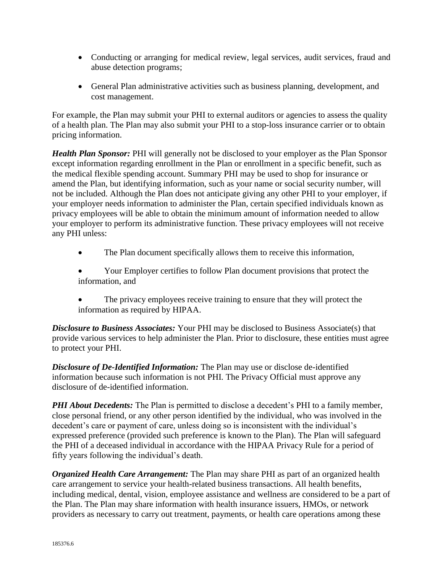- Conducting or arranging for medical review, legal services, audit services, fraud and abuse detection programs;
- General Plan administrative activities such as business planning, development, and cost management.

For example, the Plan may submit your PHI to external auditors or agencies to assess the quality of a health plan. The Plan may also submit your PHI to a stop-loss insurance carrier or to obtain pricing information.

*Health Plan Sponsor:* PHI will generally not be disclosed to your employer as the Plan Sponsor except information regarding enrollment in the Plan or enrollment in a specific benefit, such as the medical flexible spending account. Summary PHI may be used to shop for insurance or amend the Plan, but identifying information, such as your name or social security number, will not be included. Although the Plan does not anticipate giving any other PHI to your employer, if your employer needs information to administer the Plan, certain specified individuals known as privacy employees will be able to obtain the minimum amount of information needed to allow your employer to perform its administrative function. These privacy employees will not receive any PHI unless:

- The Plan document specifically allows them to receive this information,
- Your Employer certifies to follow Plan document provisions that protect the information, and
- The privacy employees receive training to ensure that they will protect the information as required by HIPAA.

*Disclosure to Business Associates:* Your PHI may be disclosed to Business Associate(s) that provide various services to help administer the Plan. Prior to disclosure, these entities must agree to protect your PHI.

*Disclosure of De-Identified Information:* The Plan may use or disclose de-identified information because such information is not PHI. The Privacy Official must approve any disclosure of de-identified information.

*PHI About Decedents:* The Plan is permitted to disclose a decedent's PHI to a family member, close personal friend, or any other person identified by the individual, who was involved in the decedent's care or payment of care, unless doing so is inconsistent with the individual's expressed preference (provided such preference is known to the Plan). The Plan will safeguard the PHI of a deceased individual in accordance with the HIPAA Privacy Rule for a period of fifty years following the individual's death.

*Organized Health Care Arrangement:* The Plan may share PHI as part of an organized health care arrangement to service your health-related business transactions. All health benefits, including medical, dental, vision, employee assistance and wellness are considered to be a part of the Plan. The Plan may share information with health insurance issuers, HMOs, or network providers as necessary to carry out treatment, payments, or health care operations among these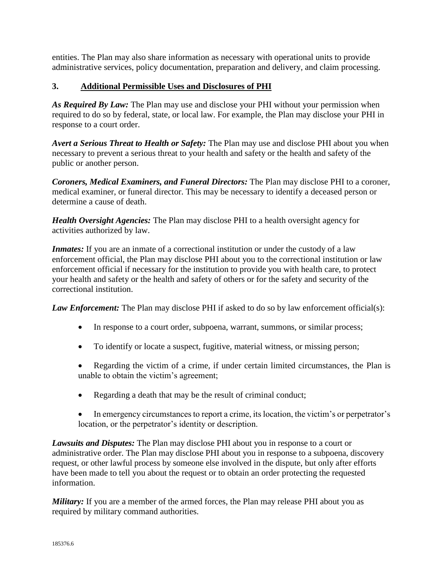entities. The Plan may also share information as necessary with operational units to provide administrative services, policy documentation, preparation and delivery, and claim processing.

# **3. Additional Permissible Uses and Disclosures of PHI**

*As Required By Law:* The Plan may use and disclose your PHI without your permission when required to do so by federal, state, or local law. For example, the Plan may disclose your PHI in response to a court order.

*Avert a Serious Threat to Health or Safety:* The Plan may use and disclose PHI about you when necessary to prevent a serious threat to your health and safety or the health and safety of the public or another person.

*Coroners, Medical Examiners, and Funeral Directors:* The Plan may disclose PHI to a coroner, medical examiner, or funeral director. This may be necessary to identify a deceased person or determine a cause of death.

*Health Oversight Agencies:* The Plan may disclose PHI to a health oversight agency for activities authorized by law.

*Inmates:* If you are an inmate of a correctional institution or under the custody of a law enforcement official, the Plan may disclose PHI about you to the correctional institution or law enforcement official if necessary for the institution to provide you with health care, to protect your health and safety or the health and safety of others or for the safety and security of the correctional institution.

*Law Enforcement:* The Plan may disclose PHI if asked to do so by law enforcement official(s):

- In response to a court order, subpoena, warrant, summons, or similar process;
- To identify or locate a suspect, fugitive, material witness, or missing person;
- Regarding the victim of a crime, if under certain limited circumstances, the Plan is unable to obtain the victim's agreement;
- Regarding a death that may be the result of criminal conduct;
- In emergency circumstances to report a crime, its location, the victim's or perpetrator's location, or the perpetrator's identity or description.

*Lawsuits and Disputes:* The Plan may disclose PHI about you in response to a court or administrative order. The Plan may disclose PHI about you in response to a subpoena, discovery request, or other lawful process by someone else involved in the dispute, but only after efforts have been made to tell you about the request or to obtain an order protecting the requested information.

*Military*: If you are a member of the armed forces, the Plan may release PHI about you as required by military command authorities.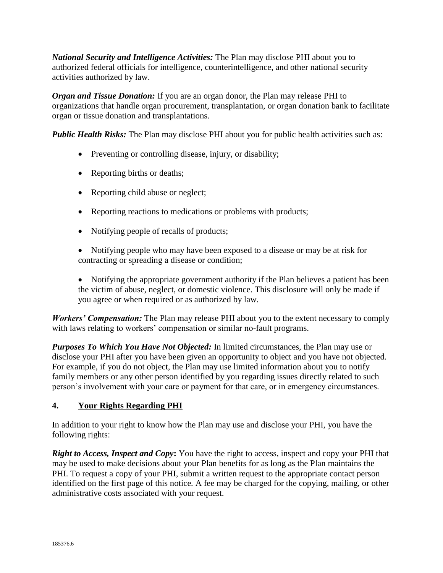*National Security and Intelligence Activities:* The Plan may disclose PHI about you to authorized federal officials for intelligence, counterintelligence, and other national security activities authorized by law.

*Organ and Tissue Donation:* If you are an organ donor, the Plan may release PHI to organizations that handle organ procurement, transplantation, or organ donation bank to facilitate organ or tissue donation and transplantations.

*Public Health Risks:* The Plan may disclose PHI about you for public health activities such as:

- Preventing or controlling disease, injury, or disability;
- Reporting births or deaths;
- Reporting child abuse or neglect;
- Reporting reactions to medications or problems with products;
- Notifying people of recalls of products;
- Notifying people who may have been exposed to a disease or may be at risk for contracting or spreading a disease or condition;
- Notifying the appropriate government authority if the Plan believes a patient has been the victim of abuse, neglect, or domestic violence. This disclosure will only be made if you agree or when required or as authorized by law.

*Workers' Compensation:* The Plan may release PHI about you to the extent necessary to comply with laws relating to workers' compensation or similar no-fault programs.

*Purposes To Which You Have Not Objected:* In limited circumstances, the Plan may use or disclose your PHI after you have been given an opportunity to object and you have not objected. For example, if you do not object, the Plan may use limited information about you to notify family members or any other person identified by you regarding issues directly related to such person's involvement with your care or payment for that care, or in emergency circumstances.

### **4. Your Rights Regarding PHI**

In addition to your right to know how the Plan may use and disclose your PHI, you have the following rights:

*Right to Access, Inspect and Copy***:** You have the right to access, inspect and copy your PHI that may be used to make decisions about your Plan benefits for as long as the Plan maintains the PHI. To request a copy of your PHI, submit a written request to the appropriate contact person identified on the first page of this notice*.* A fee may be charged for the copying, mailing, or other administrative costs associated with your request.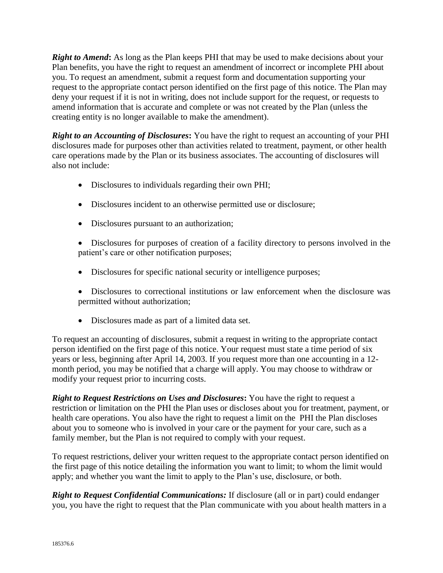*Right to Amend***:** As long as the Plan keeps PHI that may be used to make decisions about your Plan benefits, you have the right to request an amendment of incorrect or incomplete PHI about you. To request an amendment, submit a request form and documentation supporting your request to the appropriate contact person identified on the first page of this notice. The Plan may deny your request if it is not in writing, does not include support for the request, or requests to amend information that is accurate and complete or was not created by the Plan (unless the creating entity is no longer available to make the amendment).

*Right to an Accounting of Disclosures***:** You have the right to request an accounting of your PHI disclosures made for purposes other than activities related to treatment, payment, or other health care operations made by the Plan or its business associates. The accounting of disclosures will also not include:

- Disclosures to individuals regarding their own PHI;
- Disclosures incident to an otherwise permitted use or disclosure;
- Disclosures pursuant to an authorization;
- Disclosures for purposes of creation of a facility directory to persons involved in the patient's care or other notification purposes;
- Disclosures for specific national security or intelligence purposes;
- Disclosures to correctional institutions or law enforcement when the disclosure was permitted without authorization;
- Disclosures made as part of a limited data set.

To request an accounting of disclosures, submit a request in writing to the appropriate contact person identified on the first page of this notice. Your request must state a time period of six years or less, beginning after April 14, 2003. If you request more than one accounting in a 12 month period, you may be notified that a charge will apply. You may choose to withdraw or modify your request prior to incurring costs.

*Right to Request Restrictions on Uses and Disclosures***:** You have the right to request a restriction or limitation on the PHI the Plan uses or discloses about you for treatment, payment, or health care operations. You also have the right to request a limit on the PHI the Plan discloses about you to someone who is involved in your care or the payment for your care, such as a family member, but the Plan is not required to comply with your request.

To request restrictions, deliver your written request to the appropriate contact person identified on the first page of this notice detailing the information you want to limit; to whom the limit would apply; and whether you want the limit to apply to the Plan's use, disclosure, or both.

*Right to Request Confidential Communications:* If disclosure (all or in part) could endanger you, you have the right to request that the Plan communicate with you about health matters in a